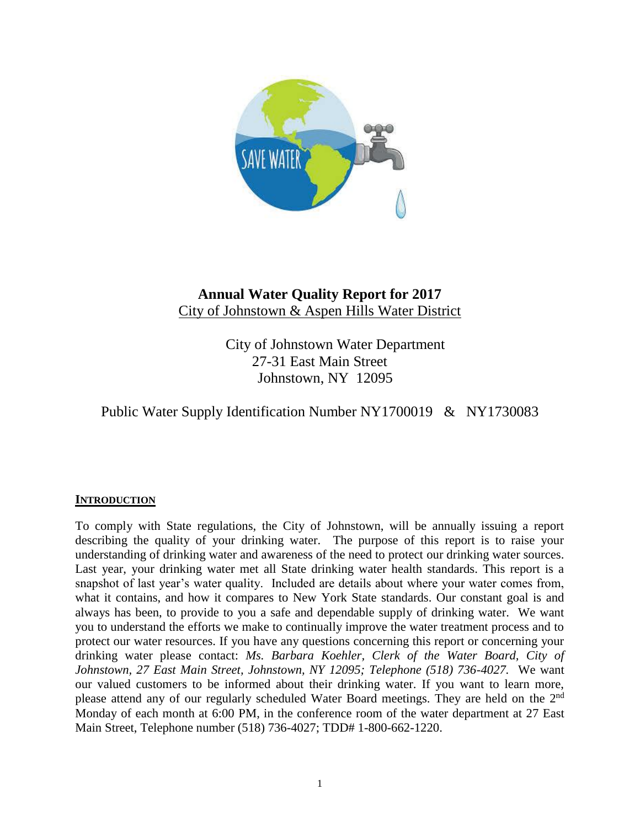

# **Annual Water Quality Report for 2017** City of Johnstown & Aspen Hills Water District

City of Johnstown Water Department 27-31 East Main Street Johnstown, NY 12095

# Public Water Supply Identification Number NY1700019 & NY1730083

# **INTRODUCTION**

To comply with State regulations, the City of Johnstown, will be annually issuing a report describing the quality of your drinking water. The purpose of this report is to raise your understanding of drinking water and awareness of the need to protect our drinking water sources. Last year, your drinking water met all State drinking water health standards. This report is a snapshot of last year's water quality. Included are details about where your water comes from, what it contains, and how it compares to New York State standards. Our constant goal is and always has been, to provide to you a safe and dependable supply of drinking water. We want you to understand the efforts we make to continually improve the water treatment process and to protect our water resources. If you have any questions concerning this report or concerning your drinking water please contact: *Ms. Barbara Koehler, Clerk of the Water Board, City of Johnstown, 27 East Main Street, Johnstown, NY 12095; Telephone (518) 736-4027.* We want our valued customers to be informed about their drinking water. If you want to learn more, please attend any of our regularly scheduled Water Board meetings. They are held on the 2<sup>nd</sup> Monday of each month at 6:00 PM, in the conference room of the water department at 27 East Main Street, Telephone number (518) 736-4027; TDD# 1-800-662-1220.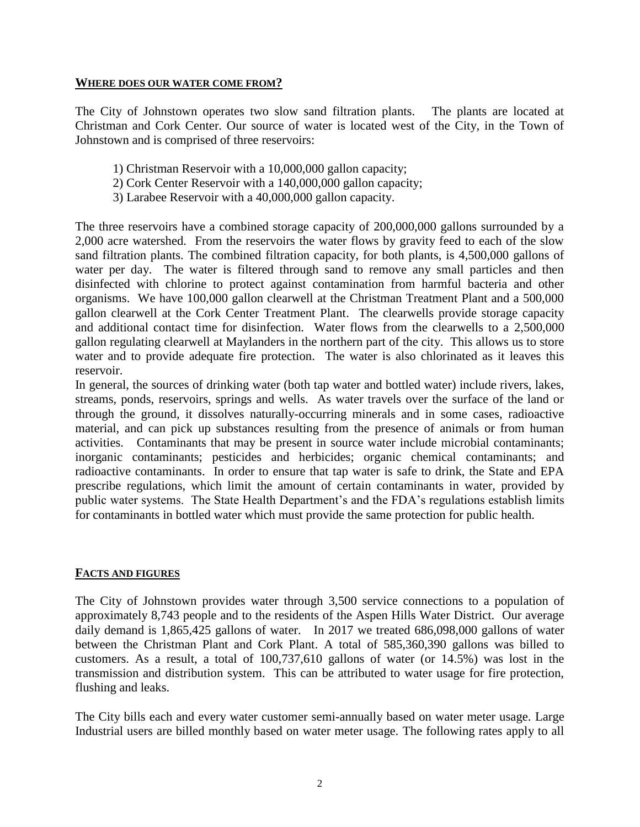### **WHERE DOES OUR WATER COME FROM?**

The City of Johnstown operates two slow sand filtration plants. The plants are located at Christman and Cork Center. Our source of water is located west of the City, in the Town of Johnstown and is comprised of three reservoirs:

- 1) Christman Reservoir with a 10,000,000 gallon capacity;
- 2) Cork Center Reservoir with a 140,000,000 gallon capacity;
- 3) Larabee Reservoir with a 40,000,000 gallon capacity.

The three reservoirs have a combined storage capacity of 200,000,000 gallons surrounded by a 2,000 acre watershed. From the reservoirs the water flows by gravity feed to each of the slow sand filtration plants. The combined filtration capacity, for both plants, is 4,500,000 gallons of water per day. The water is filtered through sand to remove any small particles and then disinfected with chlorine to protect against contamination from harmful bacteria and other organisms. We have 100,000 gallon clearwell at the Christman Treatment Plant and a 500,000 gallon clearwell at the Cork Center Treatment Plant. The clearwells provide storage capacity and additional contact time for disinfection. Water flows from the clearwells to a 2,500,000 gallon regulating clearwell at Maylanders in the northern part of the city. This allows us to store water and to provide adequate fire protection. The water is also chlorinated as it leaves this reservoir.

In general, the sources of drinking water (both tap water and bottled water) include rivers, lakes, streams, ponds, reservoirs, springs and wells. As water travels over the surface of the land or through the ground, it dissolves naturally-occurring minerals and in some cases, radioactive material, and can pick up substances resulting from the presence of animals or from human activities. Contaminants that may be present in source water include microbial contaminants; inorganic contaminants; pesticides and herbicides; organic chemical contaminants; and radioactive contaminants. In order to ensure that tap water is safe to drink, the State and EPA prescribe regulations, which limit the amount of certain contaminants in water, provided by public water systems. The State Health Department's and the FDA's regulations establish limits for contaminants in bottled water which must provide the same protection for public health.

# **FACTS AND FIGURES**

The City of Johnstown provides water through 3,500 service connections to a population of approximately 8,743 people and to the residents of the Aspen Hills Water District. Our average daily demand is 1,865,425 gallons of water. In 2017 we treated 686,098,000 gallons of water between the Christman Plant and Cork Plant. A total of 585,360,390 gallons was billed to customers. As a result, a total of 100,737,610 gallons of water (or 14.5%) was lost in the transmission and distribution system. This can be attributed to water usage for fire protection, flushing and leaks.

The City bills each and every water customer semi-annually based on water meter usage. Large Industrial users are billed monthly based on water meter usage. The following rates apply to all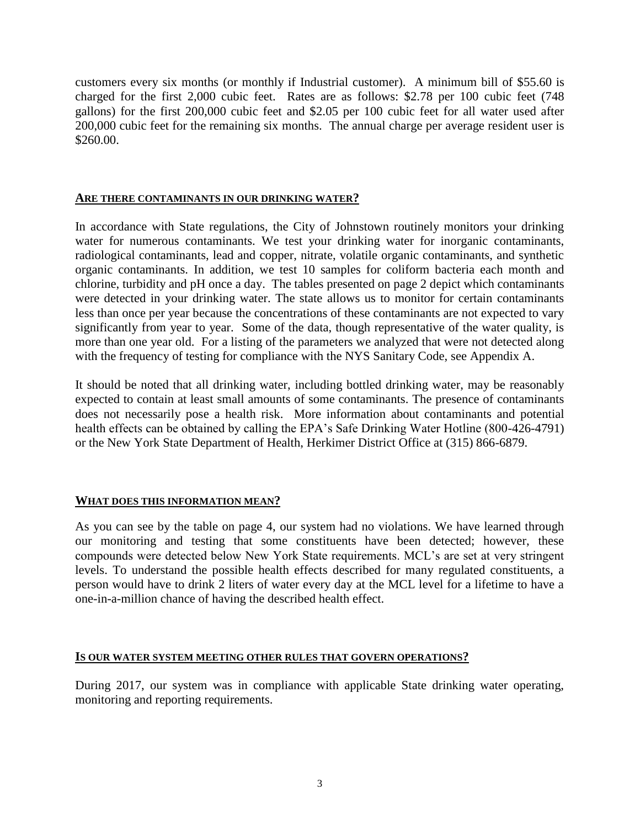customers every six months (or monthly if Industrial customer). A minimum bill of \$55.60 is charged for the first 2,000 cubic feet. Rates are as follows: \$2.78 per 100 cubic feet (748 gallons) for the first 200,000 cubic feet and \$2.05 per 100 cubic feet for all water used after 200,000 cubic feet for the remaining six months. The annual charge per average resident user is \$260.00.

### **ARE THERE CONTAMINANTS IN OUR DRINKING WATER?**

In accordance with State regulations, the City of Johnstown routinely monitors your drinking water for numerous contaminants. We test your drinking water for inorganic contaminants, radiological contaminants, lead and copper, nitrate, volatile organic contaminants, and synthetic organic contaminants. In addition, we test 10 samples for coliform bacteria each month and chlorine, turbidity and pH once a day. The tables presented on page 2 depict which contaminants were detected in your drinking water. The state allows us to monitor for certain contaminants less than once per year because the concentrations of these contaminants are not expected to vary significantly from year to year. Some of the data, though representative of the water quality, is more than one year old. For a listing of the parameters we analyzed that were not detected along with the frequency of testing for compliance with the NYS Sanitary Code, see Appendix A.

It should be noted that all drinking water, including bottled drinking water, may be reasonably expected to contain at least small amounts of some contaminants. The presence of contaminants does not necessarily pose a health risk. More information about contaminants and potential health effects can be obtained by calling the EPA's Safe Drinking Water Hotline (800-426-4791) or the New York State Department of Health, Herkimer District Office at (315) 866-6879.

# **WHAT DOES THIS INFORMATION MEAN?**

As you can see by the table on page 4, our system had no violations. We have learned through our monitoring and testing that some constituents have been detected; however, these compounds were detected below New York State requirements. MCL's are set at very stringent levels. To understand the possible health effects described for many regulated constituents, a person would have to drink 2 liters of water every day at the MCL level for a lifetime to have a one-in-a-million chance of having the described health effect.

#### **IS OUR WATER SYSTEM MEETING OTHER RULES THAT GOVERN OPERATIONS?**

During 2017, our system was in compliance with applicable State drinking water operating, monitoring and reporting requirements.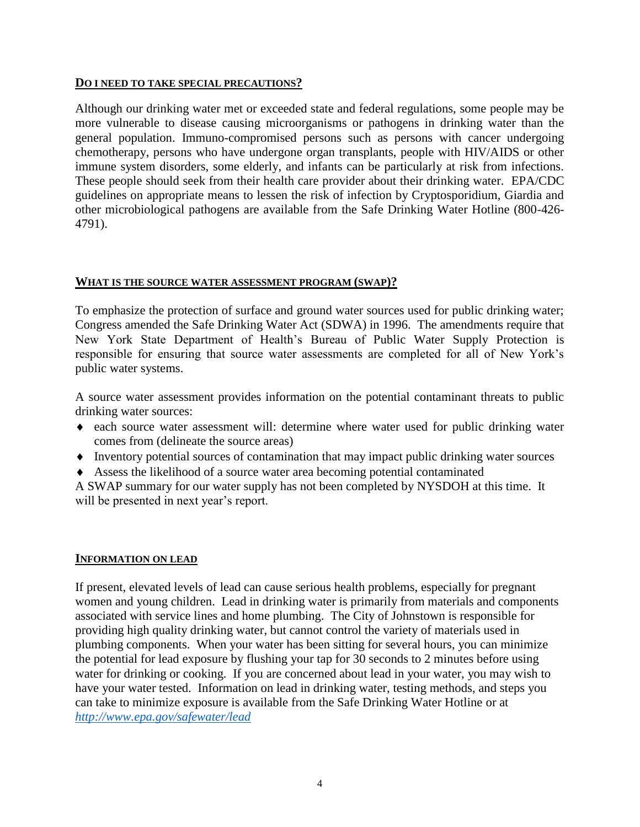### **DO I NEED TO TAKE SPECIAL PRECAUTIONS?**

Although our drinking water met or exceeded state and federal regulations, some people may be more vulnerable to disease causing microorganisms or pathogens in drinking water than the general population. Immuno-compromised persons such as persons with cancer undergoing chemotherapy, persons who have undergone organ transplants, people with HIV/AIDS or other immune system disorders, some elderly, and infants can be particularly at risk from infections. These people should seek from their health care provider about their drinking water. EPA/CDC guidelines on appropriate means to lessen the risk of infection by Cryptosporidium, Giardia and other microbiological pathogens are available from the Safe Drinking Water Hotline (800-426- 4791).

# **WHAT IS THE SOURCE WATER ASSESSMENT PROGRAM (SWAP)?**

To emphasize the protection of surface and ground water sources used for public drinking water; Congress amended the Safe Drinking Water Act (SDWA) in 1996. The amendments require that New York State Department of Health's Bureau of Public Water Supply Protection is responsible for ensuring that source water assessments are completed for all of New York's public water systems.

A source water assessment provides information on the potential contaminant threats to public drinking water sources:

- each source water assessment will: determine where water used for public drinking water comes from (delineate the source areas)
- Inventory potential sources of contamination that may impact public drinking water sources
- Assess the likelihood of a source water area becoming potential contaminated

A SWAP summary for our water supply has not been completed by NYSDOH at this time. It will be presented in next year's report.

#### **INFORMATION ON LEAD**

If present, elevated levels of lead can cause serious health problems, especially for pregnant women and young children. Lead in drinking water is primarily from materials and components associated with service lines and home plumbing. The City of Johnstown is responsible for providing high quality drinking water, but cannot control the variety of materials used in plumbing components. When your water has been sitting for several hours, you can minimize the potential for lead exposure by flushing your tap for 30 seconds to 2 minutes before using water for drinking or cooking. If you are concerned about lead in your water, you may wish to have your water tested. Information on lead in drinking water, testing methods, and steps you can take to minimize exposure is available from the Safe Drinking Water Hotline or at *<http://www.epa.gov/safewater/lead>*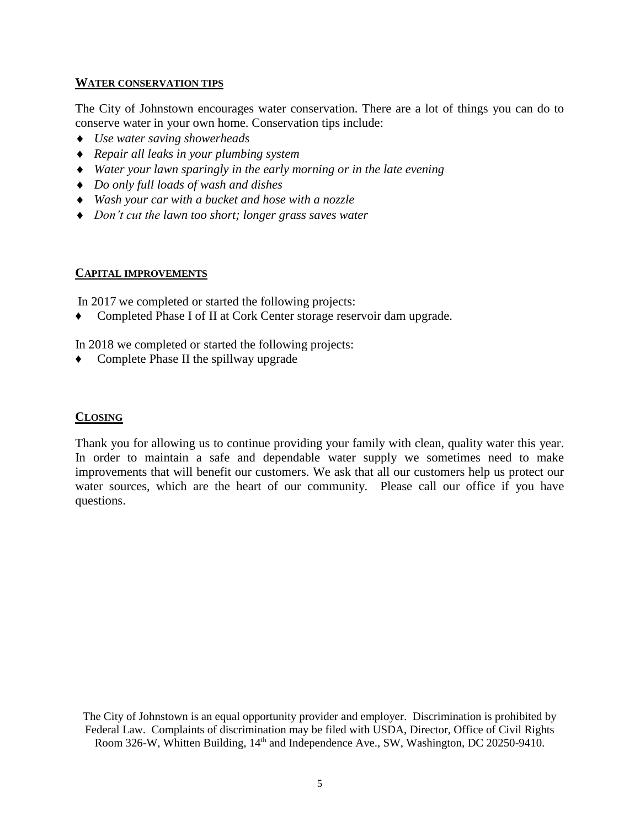### **WATER CONSERVATION TIPS**

The City of Johnstown encourages water conservation. There are a lot of things you can do to conserve water in your own home. Conservation tips include:

- *Use water saving showerheads*
- *Repair all leaks in your plumbing system*
- *Water your lawn sparingly in the early morning or in the late evening*
- *Do only full loads of wash and dishes*
- *Wash your car with a bucket and hose with a nozzle*
- *Don't cut the lawn too short; longer grass saves water*

# **CAPITAL IMPROVEMENTS**

In 2017 we completed or started the following projects:

Completed Phase I of II at Cork Center storage reservoir dam upgrade.

In 2018 we completed or started the following projects:

♦ Complete Phase II the spillway upgrade

# **CLOSING**

Thank you for allowing us to continue providing your family with clean, quality water this year. In order to maintain a safe and dependable water supply we sometimes need to make improvements that will benefit our customers. We ask that all our customers help us protect our water sources, which are the heart of our community. Please call our office if you have questions.

The City of Johnstown is an equal opportunity provider and employer. Discrimination is prohibited by Federal Law. Complaints of discrimination may be filed with USDA, Director, Office of Civil Rights Room 326-W, Whitten Building,  $14<sup>th</sup>$  and Independence Ave., SW, Washington, DC 20250-9410.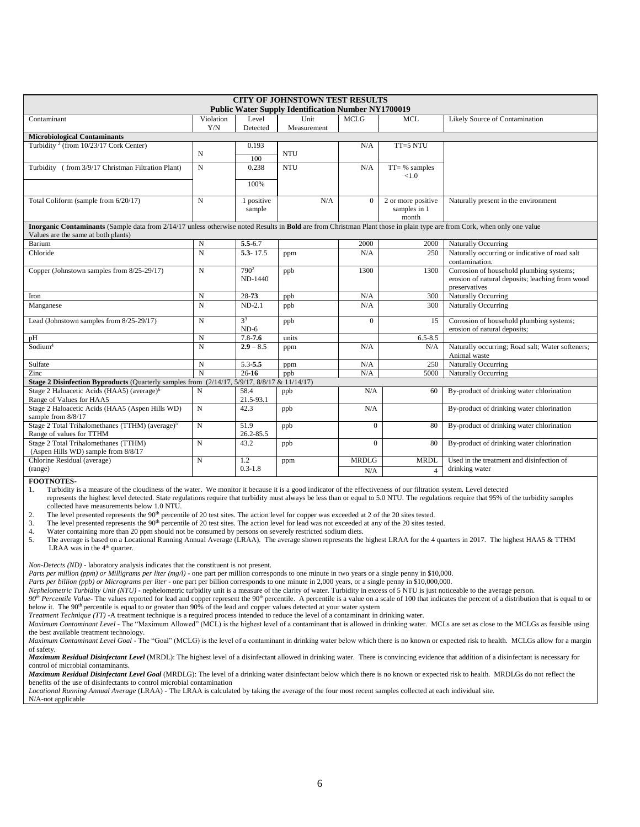| <b>CITY OF JOHNSTOWN TEST RESULTS</b><br><b>Public Water Supply Identification Number NY1700019</b>                                                                                                            |             |                       |             |              |                    |                                                                  |  |  |  |  |
|----------------------------------------------------------------------------------------------------------------------------------------------------------------------------------------------------------------|-------------|-----------------------|-------------|--------------|--------------------|------------------------------------------------------------------|--|--|--|--|
| Contaminant                                                                                                                                                                                                    | Violation   | Level                 | Unit        | <b>MCLG</b>  | MCL                | Likely Source of Contamination                                   |  |  |  |  |
|                                                                                                                                                                                                                | Y/N         | Detected              | Measurement |              |                    |                                                                  |  |  |  |  |
| <b>Microbiological Contaminants</b>                                                                                                                                                                            |             |                       |             |              |                    |                                                                  |  |  |  |  |
| Turbidity <sup>2</sup> (from 10/23/17 Cork Center)                                                                                                                                                             |             | 0.193                 |             | N/A          | $TT=5 NTU$         |                                                                  |  |  |  |  |
|                                                                                                                                                                                                                | N           | 100                   | <b>NTU</b>  |              |                    |                                                                  |  |  |  |  |
| Turbidity (from 3/9/17 Christman Filtration Plant)                                                                                                                                                             | N           | 0.238                 | <b>NTU</b>  | N/A          | $TT = %$ samples   |                                                                  |  |  |  |  |
|                                                                                                                                                                                                                |             |                       |             |              | < 1.0              |                                                                  |  |  |  |  |
|                                                                                                                                                                                                                |             | 100%                  |             |              |                    |                                                                  |  |  |  |  |
| Total Coliform (sample from 6/20/17)                                                                                                                                                                           | N           | 1 positive            | N/A         | $\Omega$     | 2 or more positive | Naturally present in the environment                             |  |  |  |  |
|                                                                                                                                                                                                                |             | sample                |             |              | samples in 1       |                                                                  |  |  |  |  |
|                                                                                                                                                                                                                |             |                       |             |              | month              |                                                                  |  |  |  |  |
| Inorganic Contaminants (Sample data from 2/14/17 unless otherwise noted Results in Bold are from Christman Plant those in plain type are from Cork, when only one value<br>Values are the same at both plants) |             |                       |             |              |                    |                                                                  |  |  |  |  |
| Barium                                                                                                                                                                                                         | $\mathbf N$ | $\overline{5.5}$ -6.7 |             | 2000         | 2000               | Naturally Occurring                                              |  |  |  |  |
| Chloride                                                                                                                                                                                                       | $\mathbf N$ | $5.3 - 17.5$          | ppm         | N/A          | 250                | Naturally occurring or indicative of road salt                   |  |  |  |  |
|                                                                                                                                                                                                                |             |                       |             |              |                    | contamination.                                                   |  |  |  |  |
| Copper (Johnstown samples from 8/25-29/17)                                                                                                                                                                     | N           | 790 <sup>2</sup>      | ppb         | 1300         | 1300               | Corrosion of household plumbing systems;                         |  |  |  |  |
|                                                                                                                                                                                                                |             | ND-1440               |             |              |                    | erosion of natural deposits; leaching from wood                  |  |  |  |  |
|                                                                                                                                                                                                                |             |                       |             |              |                    | preservatives                                                    |  |  |  |  |
| Iron                                                                                                                                                                                                           | $\mathbf N$ | 28-73                 | ppb         | N/A          | 300                | Naturally Occurring                                              |  |  |  |  |
| Manganese                                                                                                                                                                                                      | N           | $ND-2.1$              | ppb         | N/A          | 300                | Naturally Occurring                                              |  |  |  |  |
| Lead (Johnstown samples from 8/25-29/17)                                                                                                                                                                       | $\mathbf N$ | 3 <sup>3</sup>        | ppb         | $\Omega$     | 15                 | Corrosion of household plumbing systems;                         |  |  |  |  |
|                                                                                                                                                                                                                |             | $ND-6$                |             |              |                    | erosion of natural deposits;                                     |  |  |  |  |
| pH                                                                                                                                                                                                             | N           | $7.8 - 7.6$           | units       |              | $6.5 - 8.5$        |                                                                  |  |  |  |  |
| Sodium <sup>4</sup>                                                                                                                                                                                            | N           | $2.9 - 8.5$           | ppm         | N/A          | N/A                | Naturally occurring; Road salt; Water softeners;<br>Animal waste |  |  |  |  |
| Sulfate                                                                                                                                                                                                        | N           | $5.3 - 5.5$           | ppm         | N/A          | 250                | Naturally Occurring                                              |  |  |  |  |
| Zinc                                                                                                                                                                                                           | N           | $26 - 16$             | ppb         | N/A          | 5000               | Naturally Occurring                                              |  |  |  |  |
| Stage 2 Disinfection Byproducts (Quarterly samples from (2/14/17, 5/9/17, 8/8/17 & 11/14/17)                                                                                                                   |             |                       |             |              |                    |                                                                  |  |  |  |  |
| Stage 2 Haloacetic Acids (HAA5) (average) <sup>6</sup>                                                                                                                                                         | N           | 58.4                  | ppb         | N/A          | 60                 | By-product of drinking water chlorination                        |  |  |  |  |
| Range of Values for HAA5                                                                                                                                                                                       |             | 21.5-93.1             |             |              |                    |                                                                  |  |  |  |  |
| Stage 2 Haloacetic Acids (HAA5 (Aspen Hills WD)                                                                                                                                                                | N           | 42.3                  | ppb         | N/A          |                    | By-product of drinking water chlorination                        |  |  |  |  |
| sample from 8/8/17                                                                                                                                                                                             |             |                       |             |              |                    |                                                                  |  |  |  |  |
| Stage 2 Total Trihalomethanes (TTHM) (average) <sup>5</sup>                                                                                                                                                    | $\mathbf N$ | 51.9                  | ppb         | $\Omega$     | 80                 | By-product of drinking water chlorination                        |  |  |  |  |
| Range of values for TTHM                                                                                                                                                                                       |             | 26.2-85.5             |             |              |                    |                                                                  |  |  |  |  |
| Stage 2 Total Trihalomethanes (TTHM)                                                                                                                                                                           | N           | 43.2                  | ppb         | $\Omega$     | 80                 | By-product of drinking water chlorination                        |  |  |  |  |
| (Aspen Hills WD) sample from 8/8/17                                                                                                                                                                            |             |                       |             |              |                    |                                                                  |  |  |  |  |
| Chlorine Residual (average)                                                                                                                                                                                    | N           | 1.2<br>$0.3 - 1.8$    | ppm         | <b>MRDLG</b> | <b>MRDL</b>        | Used in the treatment and disinfection of<br>drinking water      |  |  |  |  |
| (range)                                                                                                                                                                                                        |             |                       |             | N/A          | $\overline{4}$     |                                                                  |  |  |  |  |

**FOOTNOTES-**

1. Turbidity is a measure of the cloudiness of the water. We monitor it because it is a good indicator of the effectiveness of our filtration system. Level detected

 represents the highest level detected. State regulations require that turbidity must always be less than or equal to 5.0 NTU. The regulations require that 95% of the turbidity samples collected have measurements below 1.0 NTU.<br>
The level presented represents the  $90<sup>th</sup>$  percenti

2. The level presented represents the 90<sup>th</sup> percentile of 20 test sites. The action level for copper was exceeded at 2 of the 20 sites tested.<br>3. The level presented represents the 90<sup>th</sup> percentile of 20 test sites. The

The level presented represents the 90<sup>th</sup> percentile of 20 test sites. The action level for lead was not exceeded at any of the 20 sites tested.

4. Water containing more than 20 ppm should not be consumed by persons on severely restricted sodium diets.

5. The average is based on a Locational Running Annual Average (LRAA). The average shown represents the highest LRAA for the 4 quarters in 2017. The highest HAA5 & TTHM LRAA was in the  $4<sup>th</sup>$  quarter.

*Non-Detects (ND)* - laboratory analysis indicates that the constituent is not present.

*Parts per million (ppm) or Milligrams per liter (mg/l)* - one part per million corresponds to one minute in two years or a single penny in \$10,000.

*Parts per billion (ppb) or Micrograms per liter* - one part per billion corresponds to one minute in 2,000 years, or a single penny in \$10,000,000.

*Nephelometric Turbidity Unit (NTU)* - nephelometric turbidity unit is a measure of the clarity of water. Turbidity in excess of 5 NTU is just noticeable to the average person.

*90<sup>h</sup>* Percentile Value- The values reported for lead and copper represent the 90<sup>th</sup> percentile. A percentile is a value on a scale of 100 that indicates the percent of a distribution that is equal to or below it. The 90<sup>th</sup> percentile is equal to or greater than 90% of the lead and copper values detected at your water system

*Treatment Technique (TT)* -A treatment technique is a required process intended to reduce the level of a contaminant in drinking water.

*Maximum Contaminant Level* - The "Maximum Allowed" (MCL) is the highest level of a contaminant that is allowed in drinking water. MCLs are set as close to the MCLGs as feasible using the best available treatment technology.

*Maximum Contaminant Level Goal* - The "Goal" (MCLG) is the level of a contaminant in drinking water below which there is no known or expected risk to health. MCLGs allow for a margin of safety.

*Maximum Residual Disinfectant Level* (MRDL): The highest level of a disinfectant allowed in drinking water. There is convincing evidence that addition of a disinfectant is necessary for control of microbial contaminants.

*Maximum Residual Disinfectant Level Goal* (MRDLG): The level of a drinking water disinfectant below which there is no known or expected risk to health. MRDLGs do not reflect the benefits of the use of disinfectants to control microbial contamination

*Locational Running Annual Average* (LRAA) - The LRAA is calculated by taking the average of the four most recent samples collected at each individual site.

N/A-not applicable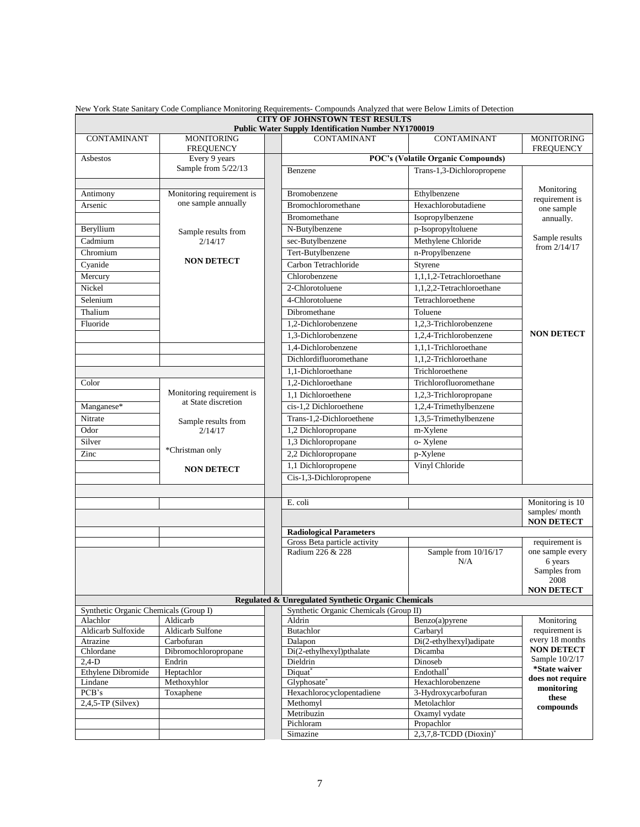|                                                               |                                                  | CITY OF JOHNSTOWN TEST RESULTS<br><b>Public Water Supply Identification Number NY1700019</b>  |                                    |                                       |  |
|---------------------------------------------------------------|--------------------------------------------------|-----------------------------------------------------------------------------------------------|------------------------------------|---------------------------------------|--|
| <b>CONTAMINANT</b>                                            | <b>MONITORING</b><br><b>FREQUENCY</b>            | <b>CONTAMINANT</b>                                                                            | <b>CONTAMINANT</b>                 | <b>MONITORING</b><br><b>FREQUENCY</b> |  |
| Asbestos                                                      | Every 9 years                                    | <b>POC's (Volatile Organic Compounds)</b>                                                     |                                    |                                       |  |
|                                                               | Sample from 5/22/13                              | Benzene                                                                                       | Trans-1,3-Dichloropropene          |                                       |  |
| Antimony                                                      | Monitoring requirement is                        | Bromobenzene                                                                                  | Ethylbenzene                       | Monitoring                            |  |
| Arsenic                                                       | one sample annually                              | Bromochloromethane                                                                            | Hexachlorobutadiene                | requirement is<br>one sample          |  |
|                                                               |                                                  | Bromomethane                                                                                  | Isopropylbenzene                   | annually.                             |  |
| Beryllium                                                     |                                                  | N-Butylbenzene                                                                                | p-Isopropyltoluene                 | Sample results                        |  |
| Cadmium                                                       | Sample results from<br>2/14/17                   | sec-Butylbenzene                                                                              | Methylene Chloride                 |                                       |  |
| Chromium                                                      |                                                  | Tert-Butylbenzene                                                                             | n-Propylbenzene                    | from $2/14/17$                        |  |
| Cyanide                                                       | <b>NON DETECT</b>                                | Carbon Tetrachloride                                                                          | Styrene                            |                                       |  |
| Mercury                                                       |                                                  | Chlorobenzene                                                                                 | 1,1,1,2-Tetrachloroethane          |                                       |  |
| Nickel                                                        |                                                  | 2-Chlorotoluene                                                                               | 1,1,2,2-Tetrachloroethane          |                                       |  |
| Selenium                                                      |                                                  | 4-Chlorotoluene                                                                               | Tetrachloroethene                  |                                       |  |
| Thalium                                                       |                                                  | Dibromethane                                                                                  | Toluene                            |                                       |  |
| Fluoride                                                      |                                                  | 1,2-Dichlorobenzene                                                                           | 1,2,3-Trichlorobenzene             |                                       |  |
|                                                               |                                                  | 1.3-Dichlorobenzene                                                                           | 1,2,4-Trichlorobenzene             | <b>NON DETECT</b>                     |  |
|                                                               |                                                  |                                                                                               |                                    |                                       |  |
|                                                               |                                                  | 1.4-Dichlorobenzene                                                                           | 1,1,1-Trichloroethane              |                                       |  |
|                                                               |                                                  | Dichlordifluoromethane                                                                        | 1,1,2-Trichloroethane              |                                       |  |
|                                                               |                                                  | 1,1-Dichloroethane                                                                            | Trichloroethene                    |                                       |  |
| Color                                                         |                                                  | 1,2-Dichloroethane                                                                            | Trichlorofluoromethane             |                                       |  |
|                                                               | Monitoring requirement is<br>at State discretion | 1.1 Dichloroethene                                                                            | 1,2,3-Trichloropropane             |                                       |  |
| Manganese*                                                    |                                                  | cis-1,2 Dichloroethene                                                                        | 1,2,4-Trimethylbenzene             |                                       |  |
| Nitrate                                                       | Sample results from                              | Trans-1,2-Dichloroethene                                                                      | 1,3,5-Trimethylbenzene             |                                       |  |
| Odor                                                          | 2/14/17                                          | 1,2 Dichloropropane                                                                           | m-Xylene                           |                                       |  |
| Silver                                                        |                                                  | 1,3 Dichloropropane                                                                           | o-Xylene                           |                                       |  |
| Zinc                                                          | *Christman only                                  | 2,2 Dichloropropane                                                                           | p-Xylene                           |                                       |  |
| <b>NON DETECT</b>                                             |                                                  | 1,1 Dichloropropene                                                                           | Vinyl Chloride                     |                                       |  |
|                                                               |                                                  | Cis-1,3-Dichloropropene                                                                       |                                    |                                       |  |
|                                                               |                                                  |                                                                                               |                                    |                                       |  |
|                                                               |                                                  | E. coli                                                                                       |                                    | Monitoring is 10                      |  |
|                                                               |                                                  |                                                                                               | samples/month<br><b>NON DETECT</b> |                                       |  |
|                                                               |                                                  | <b>Radiological Parameters</b>                                                                |                                    |                                       |  |
|                                                               |                                                  | Gross Beta particle activity                                                                  |                                    | requirement is                        |  |
|                                                               |                                                  | Radium 226 & 228                                                                              | Sample from 10/16/17<br>N/A        | one sample every<br>6 years           |  |
|                                                               |                                                  |                                                                                               |                                    | Samples from                          |  |
|                                                               |                                                  |                                                                                               |                                    | 2008                                  |  |
|                                                               |                                                  |                                                                                               |                                    | <b>NON DETECT</b>                     |  |
|                                                               |                                                  | Regulated & Unregulated Synthetic Organic Chemicals<br>Synthetic Organic Chemicals (Group II) |                                    |                                       |  |
| Synthetic Organic Chemicals (Group I)<br>Aldicarb<br>Alachlor |                                                  | Aldrin                                                                                        | Benzo(a)pyrene                     | Monitoring                            |  |
| Aldicarb Sulfoxide                                            | Aldicarb Sulfone                                 | Butachlor                                                                                     | Carbaryl                           | requirement is                        |  |
| Atrazine                                                      | Carbofuran                                       | Dalapon                                                                                       | Di(2-ethylhexyl)adipate            | every 18 months                       |  |
| Chlordane                                                     | Dibromochloropropane                             | Di(2-ethylhexyl)pthalate                                                                      | Dicamba                            | <b>NON DETECT</b>                     |  |
| $2,4-D$                                                       | Endrin                                           | Dieldrin                                                                                      | Dinoseb                            | Sample 10/2/17                        |  |
| Ethylene Dibromide                                            | Heptachlor                                       | Diquat*                                                                                       | Endothall <sup>®</sup>             | *State waiver                         |  |
| Lindane                                                       | Methoxyhlor                                      | Glyphosate*                                                                                   | Hexachlorobenzene                  | does not require<br>monitoring        |  |
| PCB's<br>Toxaphene                                            |                                                  | Hexachlorocyclopentadiene<br>3-Hydroxycarbofuran                                              |                                    | these                                 |  |
| $2,4,5$ -TP (Silvex)                                          |                                                  | Methomyl                                                                                      | Metolachlor                        | compounds                             |  |
|                                                               |                                                  | Metribuzin<br>Pichloram                                                                       | Oxamyl vydate<br>Propachlor        |                                       |  |
|                                                               |                                                  | Simazine                                                                                      | 2,3,7,8-TCDD (Dioxin)*             |                                       |  |

New York State Sanitary Code Compliance Monitoring Requirements- Compounds Analyzed that were Below Limits of Detection